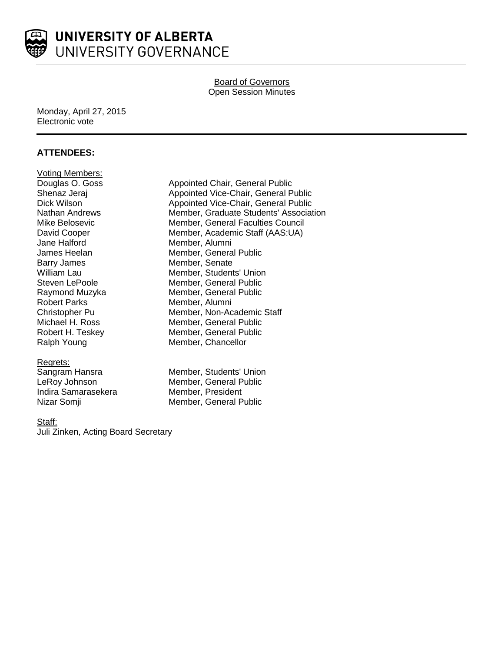

# Board of Governors Open Session Minutes

### Monday, April 27, 2015 Electronic vote

# **ATTENDEES:**

**Voting Members:**<br>Douglas O. Goss Jane Halford **Member**, Alumni Barry James Member, Senate Robert Parks Member, Alumni

Regrets:<br>Sangram Hansra Indira Samarasekera Member, President

Appointed Chair, General Public Shenaz Jeraj **Appointed Vice-Chair**, General Public Dick Wilson **Appointed Vice-Chair, General Public** Nathan Andrews Member, Graduate Students' Association Mike Belosevic **Member**, General Faculties Council David Cooper Member, Academic Staff (AAS:UA) James Heelan Member, General Public William Lau **Member, Students' Union** Steven LePoole Member, General Public Raymond Muzyka Member, General Public Christopher Pu Member, Non-Academic Staff Michael H. Ross Member, General Public<br>
Robert H. Teskey Member, General Public Member, General Public Ralph Young Member, Chancellor

Member, Students' Union LeRoy Johnson Member, General Public Nizar Somji **Member**, General Public

### Staff:

Juli Zinken, Acting Board Secretary